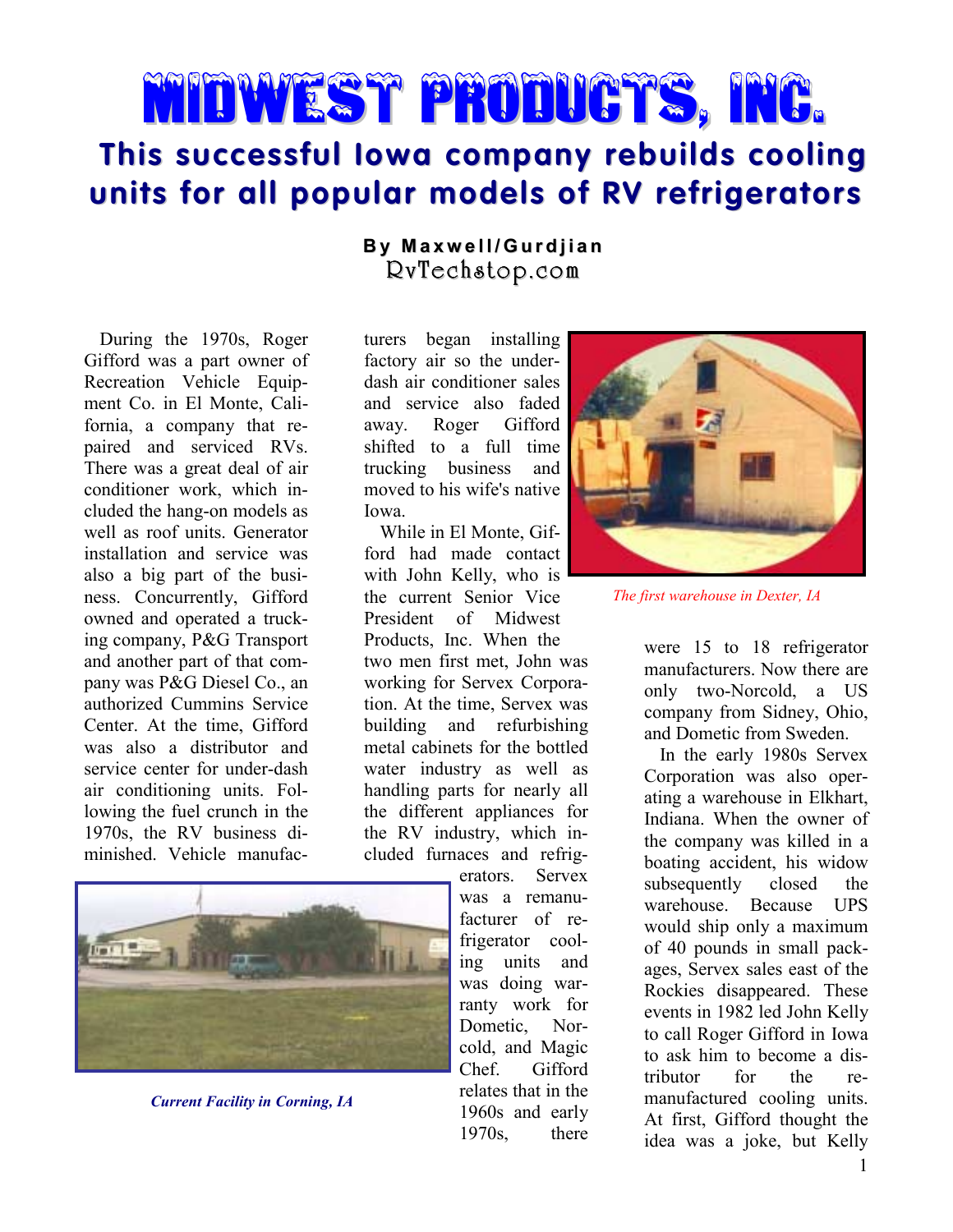# Midwest Products, Inc.

## **This successful Iowa company rebuilds cooling units for all popular models of RV refrigerators**

### **B y M a x w el l / G ur dj i a n** RvTechstop.com

During the 1970s, Roger Gifford was a part owner of Recreation Vehicle Equipment Co. in El Monte, California, a company that repaired and serviced RVs. There was a great deal of air conditioner work, which included the hang-on models as well as roof units. Generator installation and service was also a big part of the business. Concurrently, Gifford owned and operated a trucking company, P&G Transport and another part of that company was P&G Diesel Co., an authorized Cummins Service Center. At the time, Gifford was also a distributor and service center for under-dash air conditioning units. Following the fuel crunch in the 1970s, the RV business diminished. Vehicle manufac-



*Current Facility in Corning, IA*

turers began installing factory air so the underdash air conditioner sales and service also faded away. Roger Gifford shifted to a full time trucking business and moved to his wife's native Iowa.

While in El Monte, Gifford had made contact with John Kelly, who is the current Senior Vice President of Midwest Products, Inc. When the two men first met, John was working for Servex Corporation. At the time, Servex was building and refurbishing metal cabinets for the bottled water industry as well as handling parts for nearly all the different appliances for the RV industry, which included furnaces and refrig-

> erators. Servex was a remanufacturer of refrigerator cooling units and was doing warranty work for Dometic, Norcold, and Magic Chef. Gifford relates that in the 1960s and early 1970s, there



*The first warehouse in Dexter, IA*

were 15 to 18 refrigerator manufacturers. Now there are only two-Norcold, a US company from Sidney, Ohio, and Dometic from Sweden.

In the early 1980s Servex Corporation was also operating a warehouse in Elkhart, Indiana. When the owner of the company was killed in a boating accident, his widow subsequently closed the warehouse. Because UPS would ship only a maximum of 40 pounds in small packages, Servex sales east of the Rockies disappeared. These events in 1982 led John Kelly to call Roger Gifford in Iowa to ask him to become a distributor for the remanufactured cooling units. At first, Gifford thought the idea was a joke, but Kelly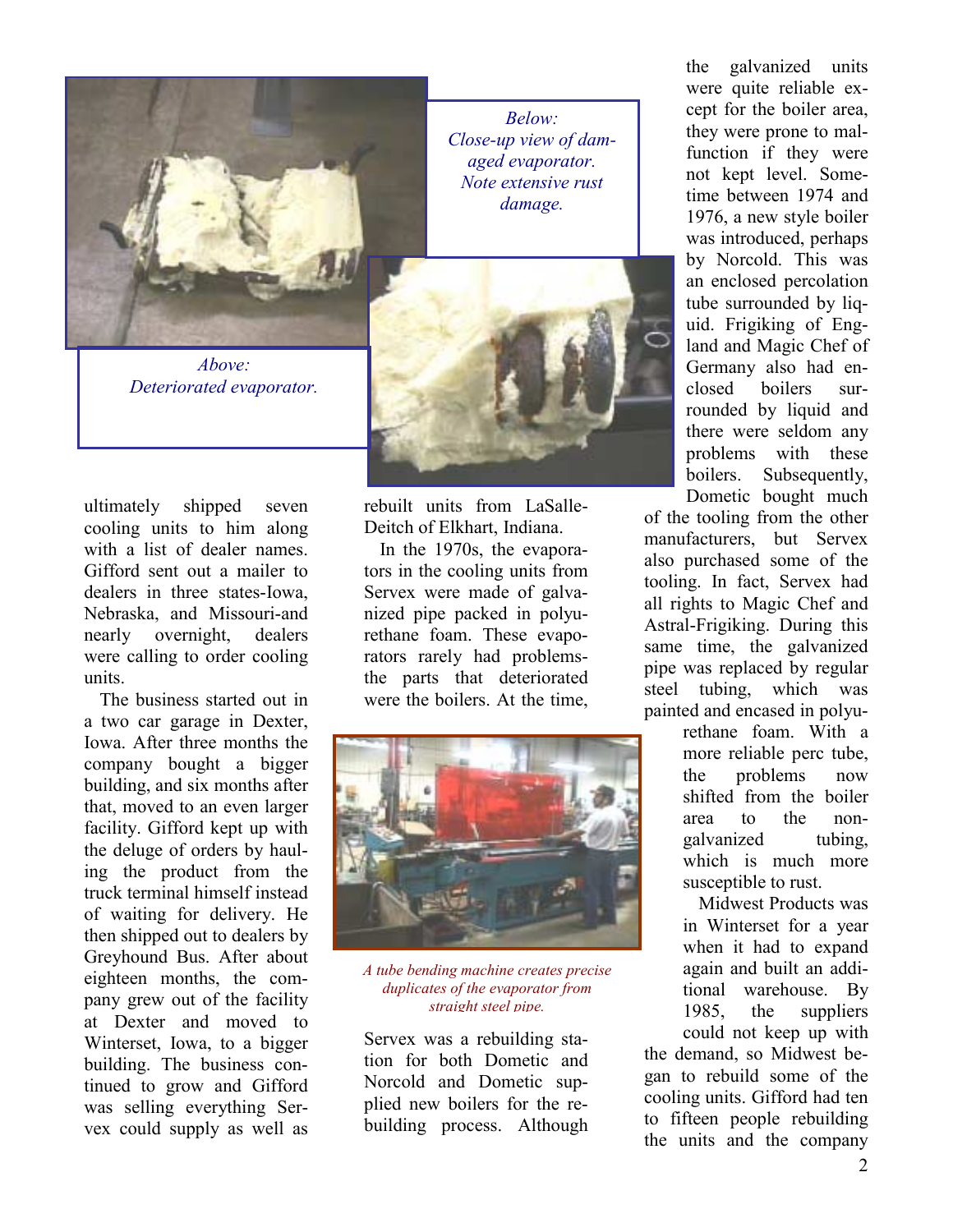

*Above: Deteriorated evaporator.*

ultimately shipped seven cooling units to him along with a list of dealer names. Gifford sent out a mailer to dealers in three states-Iowa, Nebraska, and Missouri-and nearly overnight, dealers were calling to order cooling units.

The business started out in a two car garage in Dexter, Iowa. After three months the company bought a bigger building, and six months after that, moved to an even larger facility. Gifford kept up with the deluge of orders by hauling the product from the truck terminal himself instead of waiting for delivery. He then shipped out to dealers by Greyhound Bus. After about eighteen months, the company grew out of the facility at Dexter and moved to Winterset, Iowa, to a bigger building. The business continued to grow and Gifford was selling everything Servex could supply as well as

*Below: Close-up view of damaged evaporator. Note extensive rust damage.*



rebuilt units from LaSalle-Deitch of Elkhart, Indiana.

In the 1970s, the evaporators in the cooling units from Servex were made of galvanized pipe packed in polyurethane foam. These evaporators rarely had problemsthe parts that deteriorated were the boilers. At the time,



*A tube bending machine creates precise duplicates of the evaporator from straight steel pipe.*

Servex was a rebuilding station for both Dometic and Norcold and Dometic supplied new boilers for the rebuilding process. Although the galvanized units were quite reliable except for the boiler area, they were prone to malfunction if they were not kept level. Sometime between 1974 and 1976, a new style boiler was introduced, perhaps by Norcold. This was an enclosed percolation tube surrounded by liquid. Frigiking of England and Magic Chef of Germany also had enclosed boilers surrounded by liquid and there were seldom any problems with these boilers. Subsequently,

Dometic bought much of the tooling from the other manufacturers, but Servex also purchased some of the tooling. In fact, Servex had all rights to Magic Chef and Astral-Frigiking. During this same time, the galvanized pipe was replaced by regular steel tubing, which was painted and encased in polyu-

rethane foam. With a more reliable perc tube, the problems now shifted from the boiler area to the nongalvanized tubing, which is much more susceptible to rust.

Midwest Products was in Winterset for a year when it had to expand again and built an additional warehouse. By 1985, the suppliers could not keep up with

the demand, so Midwest began to rebuild some of the cooling units. Gifford had ten to fifteen people rebuilding the units and the company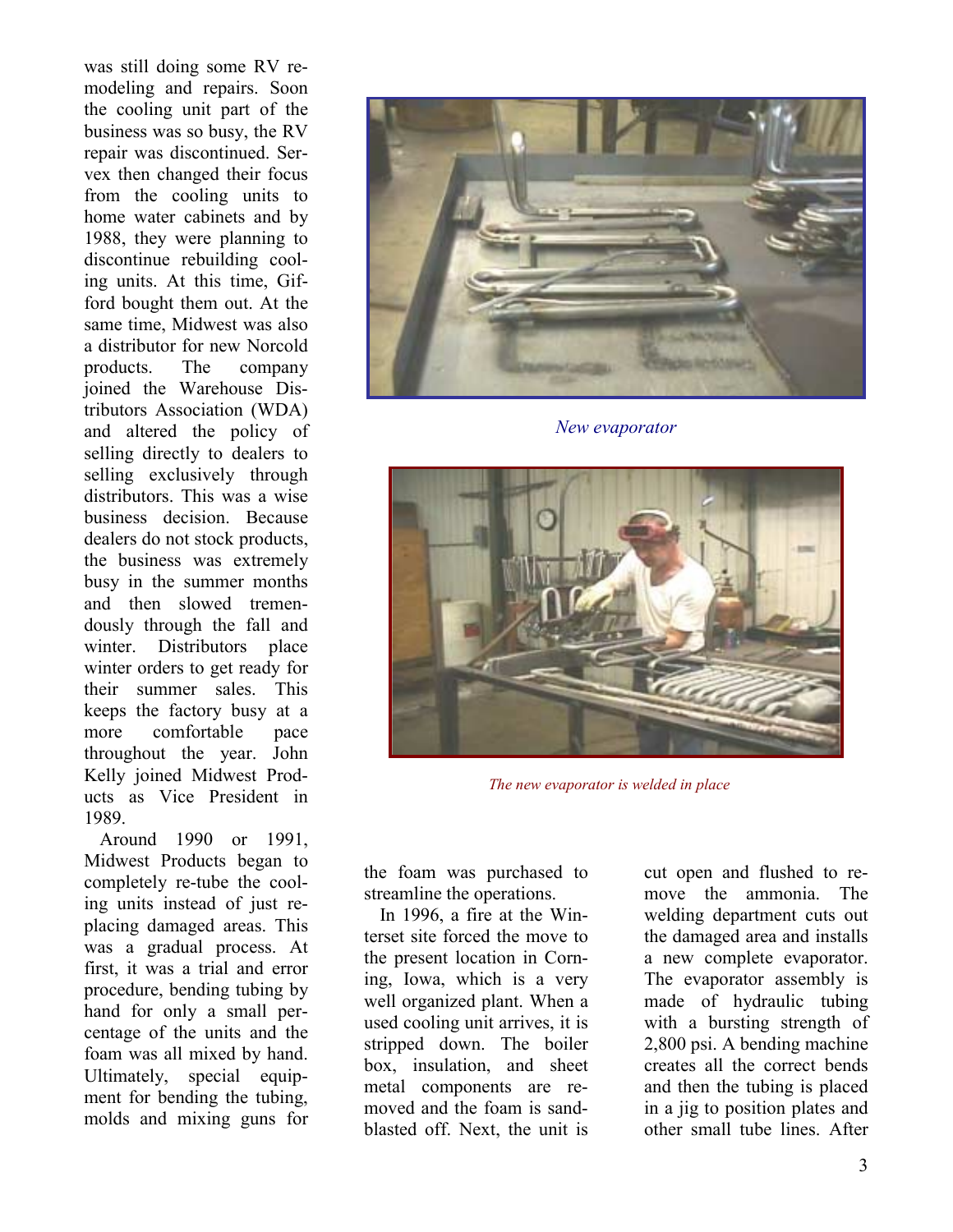was still doing some RV remodeling and repairs. Soon the cooling unit part of the business was so busy, the RV repair was discontinued. Servex then changed their focus from the cooling units to home water cabinets and by 1988, they were planning to discontinue rebuilding cooling units. At this time, Gifford bought them out. At the same time, Midwest was also a distributor for new Norcold products. The company joined the Warehouse Distributors Association (WDA) and altered the policy of selling directly to dealers to selling exclusively through distributors. This was a wise business decision. Because dealers do not stock products, the business was extremely busy in the summer months and then slowed tremendously through the fall and winter. Distributors place winter orders to get ready for their summer sales. This keeps the factory busy at a more comfortable pace throughout the year. John Kelly joined Midwest Products as Vice President in 1989.

Around 1990 or 1991, Midwest Products began to completely re-tube the cooling units instead of just replacing damaged areas. This was a gradual process. At first, it was a trial and error procedure, bending tubing by hand for only a small percentage of the units and the foam was all mixed by hand. Ultimately, special equipment for bending the tubing, molds and mixing guns for



*New evaporator*



*The new evaporator is welded in place*

the foam was purchased to streamline the operations.

In 1996, a fire at the Winterset site forced the move to the present location in Corning, Iowa, which is a very well organized plant. When a used cooling unit arrives, it is stripped down. The boiler box, insulation, and sheet metal components are removed and the foam is sandblasted off. Next, the unit is

cut open and flushed to remove the ammonia. The welding department cuts out the damaged area and installs a new complete evaporator. The evaporator assembly is made of hydraulic tubing with a bursting strength of 2,800 psi. A bending machine creates all the correct bends and then the tubing is placed in a jig to position plates and other small tube lines. After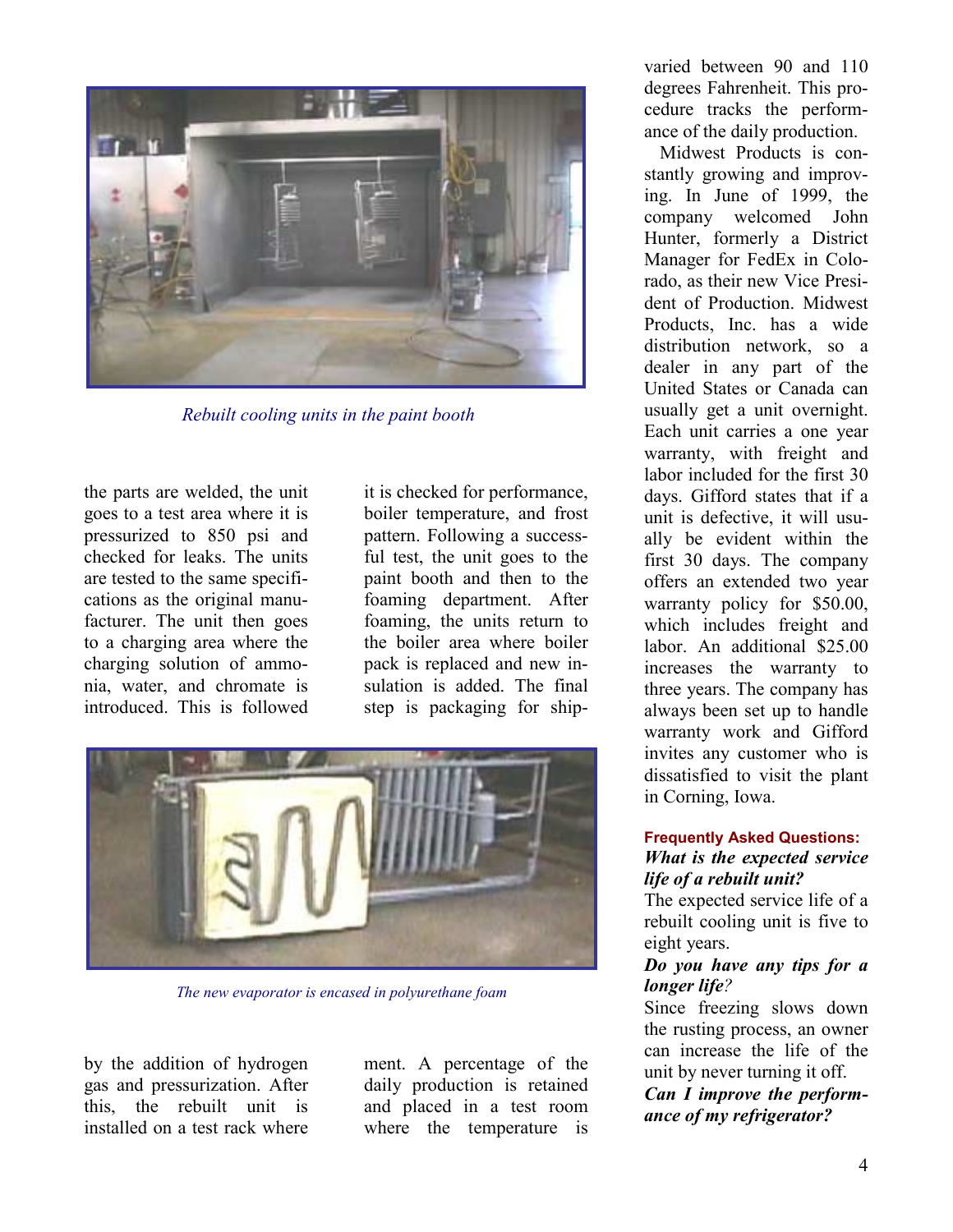

*Rebuilt cooling units in the paint booth*

the parts are welded, the unit goes to a test area where it is pressurized to 850 psi and checked for leaks. The units are tested to the same specifications as the original manufacturer. The unit then goes to a charging area where the charging solution of ammonia, water, and chromate is introduced. This is followed

it is checked for performance, boiler temperature, and frost pattern. Following a successful test, the unit goes to the paint booth and then to the foaming department. After foaming, the units return to the boiler area where boiler pack is replaced and new insulation is added. The final step is packaging for ship-



*The new evaporator is encased in polyurethane foam*

by the addition of hydrogen gas and pressurization. After this, the rebuilt unit is installed on a test rack where

ment. A percentage of the daily production is retained and placed in a test room where the temperature is

varied between 90 and 110 degrees Fahrenheit. This procedure tracks the performance of the daily production.

Midwest Products is constantly growing and improving. In June of 1999, the company welcomed John Hunter, formerly a District Manager for FedEx in Colorado, as their new Vice President of Production. Midwest Products, Inc. has a wide distribution network, so a dealer in any part of the United States or Canada can usually get a unit overnight. Each unit carries a one year warranty, with freight and labor included for the first 30 days. Gifford states that if a unit is defective, it will usually be evident within the first 30 days. The company offers an extended two year warranty policy for \$50.00, which includes freight and labor. An additional \$25.00 increases the warranty to three years. The company has always been set up to handle warranty work and Gifford invites any customer who is dissatisfied to visit the plant in Corning, Iowa.

#### **Frequently Asked Questions:** *What is the expected service life of a rebuilt unit?*

The expected service life of a rebuilt cooling unit is five to eight years.

#### *Do you have any tips for a longer life?*

Since freezing slows down the rusting process, an owner can increase the life of the unit by never turning it off.

*Can I improve the performance of my refrigerator?*